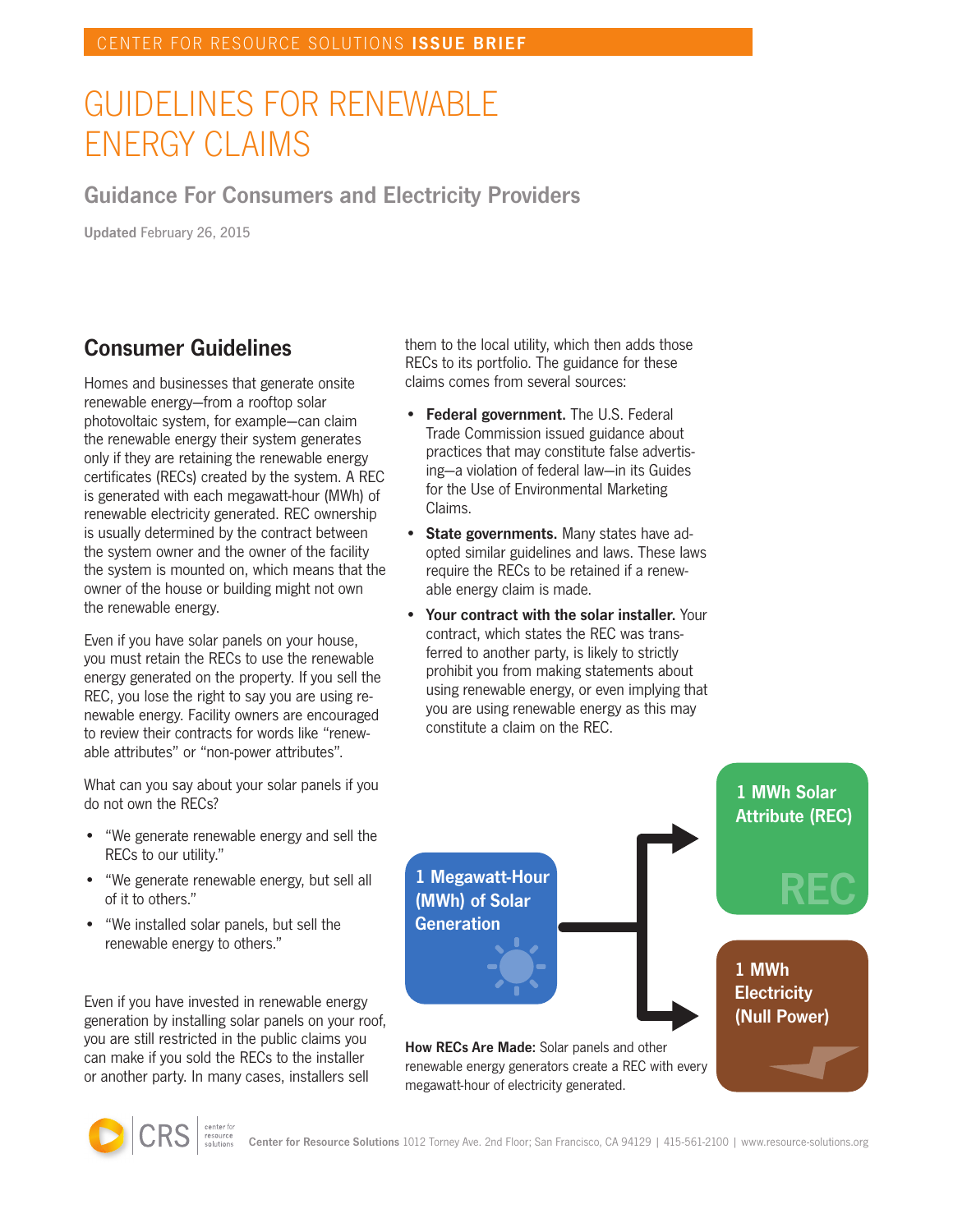# GUIDELINES FOR RENEWABLE ENERGY CLAIMS

#### Guidance For Consumers and Electricity Providers

Updated February 26, 2015

## Consumer Guidelines

Homes and businesses that generate onsite renewable energy—from a rooftop solar photovoltaic system, for example—can claim the renewable energy their system generates only if they are retaining the renewable energy certificates (RECs) created by the system. A REC is generated with each megawatt-hour (MWh) of renewable electricity generated. REC ownership is usually determined by the contract between the system owner and the owner of the facility the system is mounted on, which means that the owner of the house or building might not own the renewable energy.

Even if you have solar panels on your house, you must retain the RECs to use the renewable energy generated on the property. If you sell the REC, you lose the right to say you are using renewable energy. Facility owners are encouraged to review their contracts for words like "renewable attributes" or "non-power attributes".

What can you say about your solar panels if you do not own the RECs?

- • "We generate renewable energy and sell the RECs to our utility."
- "We generate renewable energy, but sell all of it to others."
- • "We installed solar panels, but sell the renewable energy to others."

Even if you have invested in renewable energy generation by installing solar panels on your roof, you are still restricted in the public claims you can make if you sold the RECs to the installer or another party. In many cases, installers sell

them to the local utility, which then adds those RECs to its portfolio. The guidance for these claims comes from several sources:

- Federal government. The U.S. Federal Trade Commission issued guidance about practices that may constitute false advertising—a violation of federal law—in its Guides for the Use of Environmental Marketing Claims.
- State governments. Many states have adopted similar guidelines and laws. These laws require the RECs to be retained if a renewable energy claim is made.
- Your contract with the solar installer. Your contract, which states the REC was transferred to another party, is likely to strictly prohibit you from making statements about using renewable energy, or even implying that you are using renewable energy as this may constitute a claim on the REC.